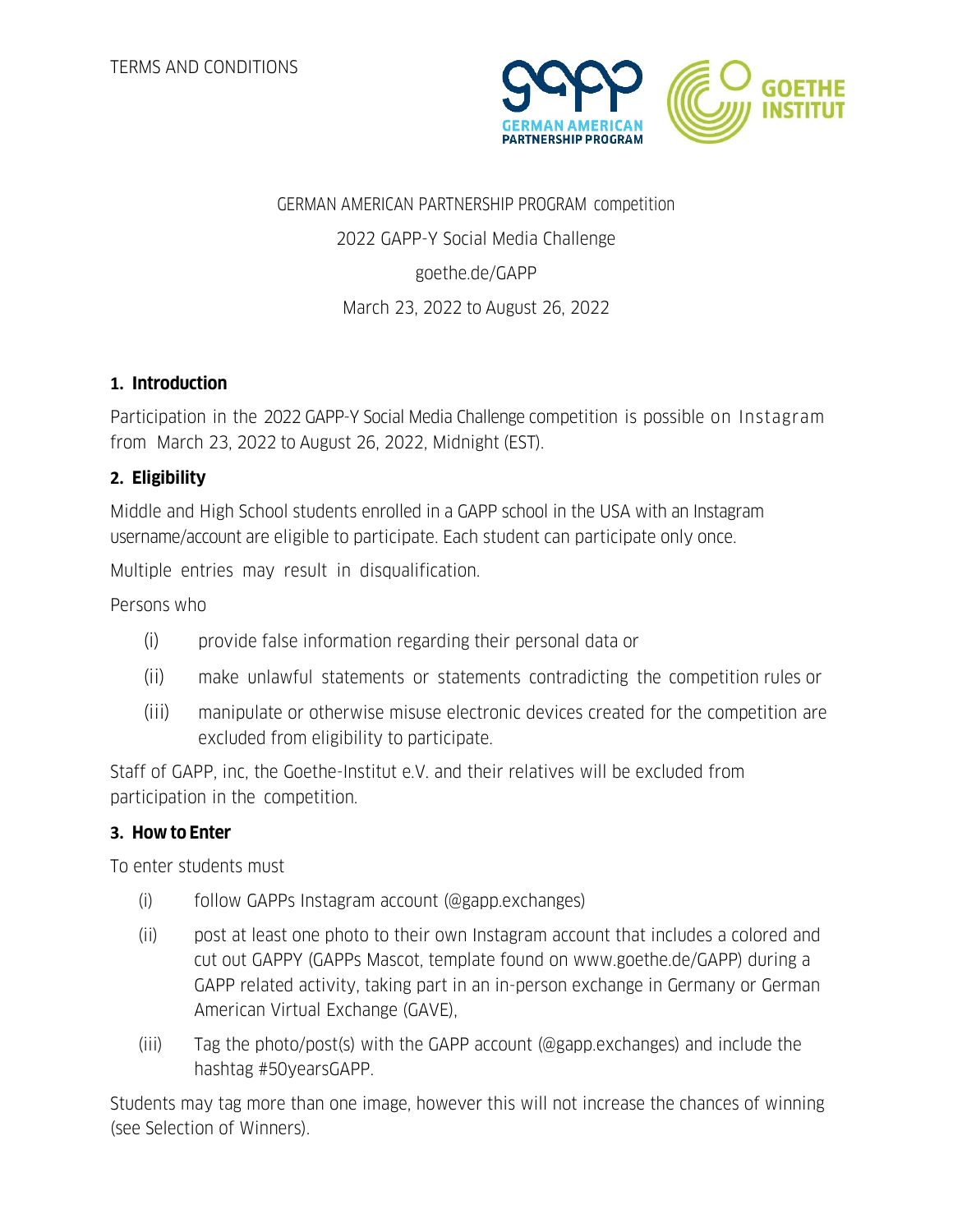

# GERMAN AMERICAN PARTNERSHIP PROGRAM competition 2022 GAPP-Y Social Media Challenge goethe.de/GAPP March 23, 2022 to August 26, 2022

## **1. Introduction**

Participation in the 2022 GAPP-Y Social Media Challenge competition is possible on Instagram from March 23, 2022 to August 26, 2022, Midnight (EST).

#### **2. Eligibility**

Middle and High School students enrolled in a GAPP school in the USA with an Instagram username/account are eligible to participate. Each student can participate only once.

Multiple entries may result in disqualification.

Persons who

- (i) provide false information regarding their personal data or
- (ii) make unlawful statements or statements contradicting the competition rules or
- (iii) manipulate or otherwise misuse electronic devices created for the competition are excluded from eligibility to participate.

Staff of GAPP, inc, the Goethe-Institut e.V. and their relatives will be excluded from participation in the competition.

#### **3. How to Enter**

To enter students must

- (i) follow GAPPs Instagram account (@gapp.exchanges)
- (ii) post at least one photo to their own Instagram account that includes a colored and cut out GAPPY (GAPPs Mascot, template found on www.goethe.de/GAPP) during a GAPP related activity, taking part in an in-person exchange in Germany or German American Virtual Exchange (GAVE),
- (iii) Tag the photo/post(s) with the GAPP account (@gapp.exchanges) and include the hashtag #50yearsGAPP.

Students may tag more than one image, however this will not increase the chances of winning (see Selection of Winners).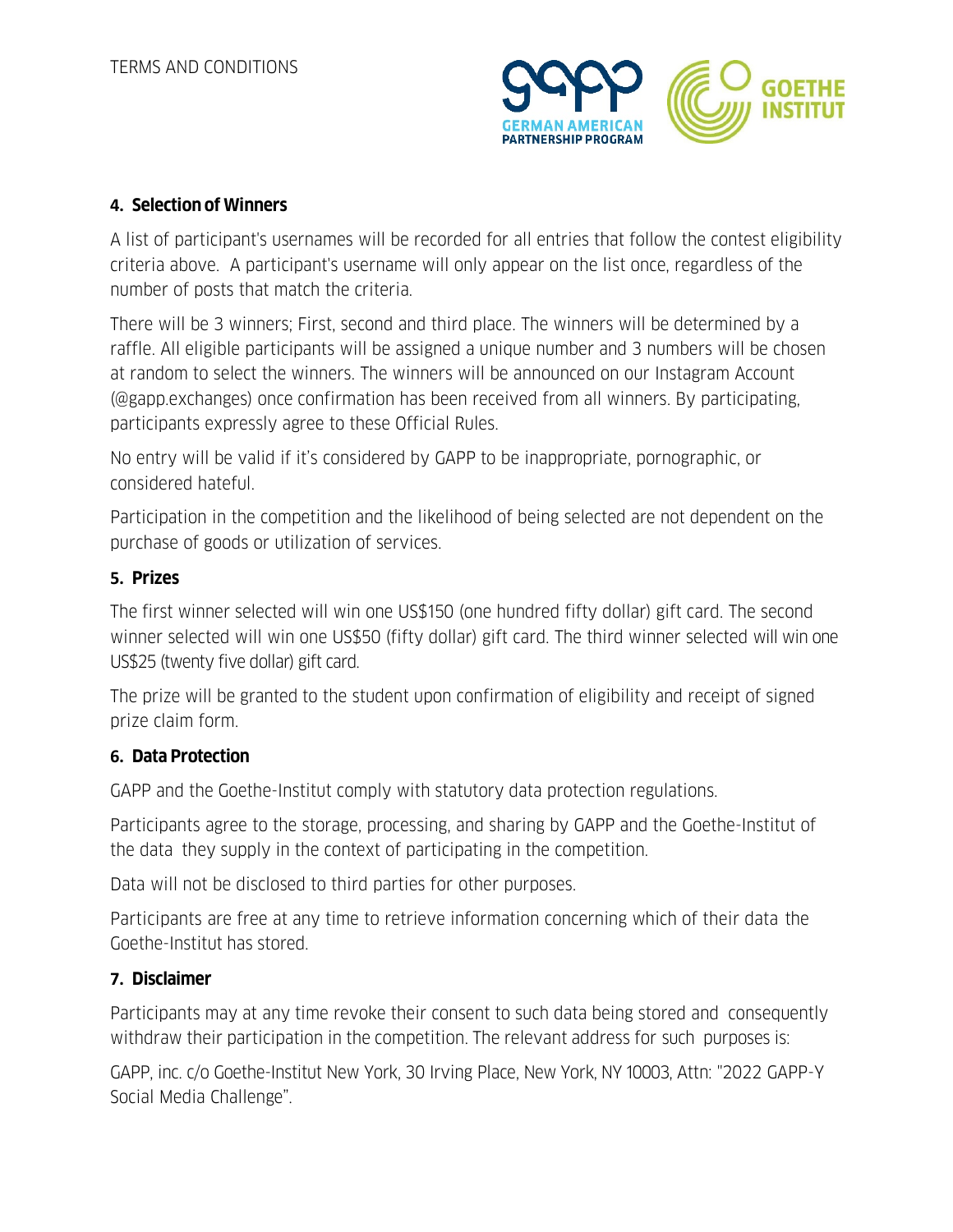

## **4. Selection of Winners**

A list of participant's usernames will be recorded for all entries that follow the contest eligibility criteria above. A participant's username will only appear on the list once, regardless of the number of posts that match the criteria.

There will be 3 winners; First, second and third place. The winners will be determined by a raffle. All eligible participants will be assigned a unique number and 3 numbers will be chosen at random to select the winners. The winners will be announced on our Instagram Account (@gapp.exchanges) once confirmation has been received from all winners. By participating, participants expressly agree to these Official Rules.

No entry will be valid if it's considered by GAPP to be inappropriate, pornographic, or considered hateful.

Participation in the competition and the likelihood of being selected are not dependent on the purchase of goods or utilization of services.

#### **5. Prizes**

The first winner selected will win one US\$150 (one hundred fifty dollar) gift card. The second winner selected will win one US\$50 (fifty dollar) gift card. The third winner selected will win one US\$25 (twenty five dollar) gift card.

The prize will be granted to the student upon confirmation of eligibility and receipt of signed prize claim form.

## **6. Data Protection**

GAPP and the Goethe-Institut comply with statutory data protection regulations.

Participants agree to the storage, processing, and sharing by GAPP and the Goethe-Institut of the data they supply in the context of participating in the competition.

Data will not be disclosed to third parties for other purposes.

Participants are free at any time to retrieve information concerning which of their data the Goethe-Institut has stored.

## **7. Disclaimer**

Participants may at any time revoke their consent to such data being stored and consequently withdraw their participation in the competition. The relevant address for such purposes is:

GAPP, inc. c/o Goethe-Institut New York, 30 Irving Place, New York, NY 10003, Attn: "2022 GAPP-Y Social Media Challenge".